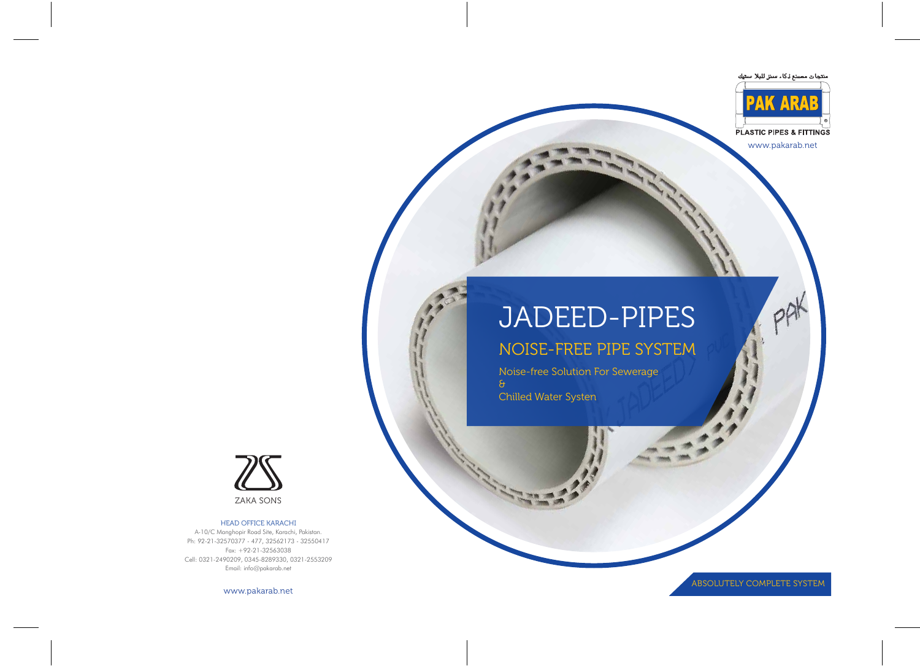

Noise-free Solution For Sewerage & Chilled Water Systen



www.pakarab.net

PAK

ABSOLUTELY COMPLETE SYSTEM

ZAKA SONS

### HEAD OFFICE KARACHI

A-10/C Manghopir Road Site, Karachi, Pakistan. Ph: 92-21-32570377 - 477, 32562173 - 32550417 Fax: +92-21-32563038 Cell: 0321-2490209, 0345-8289330, 0321-2553209 Email: info@pakarab.net

www.pakarab.net